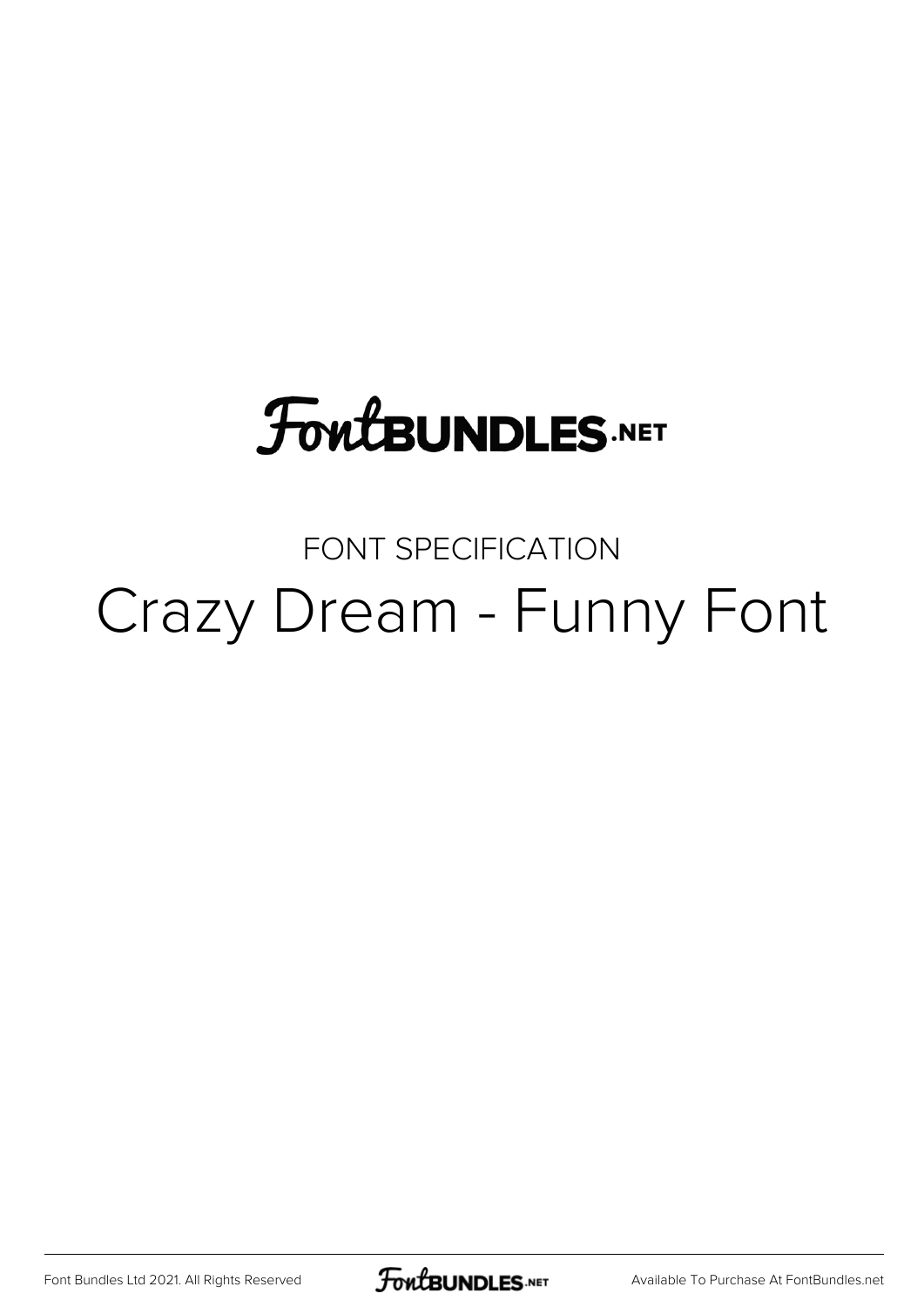# **FoutBUNDLES.NET**

#### FONT SPECIFICATION Crazy Dream - Funny Font

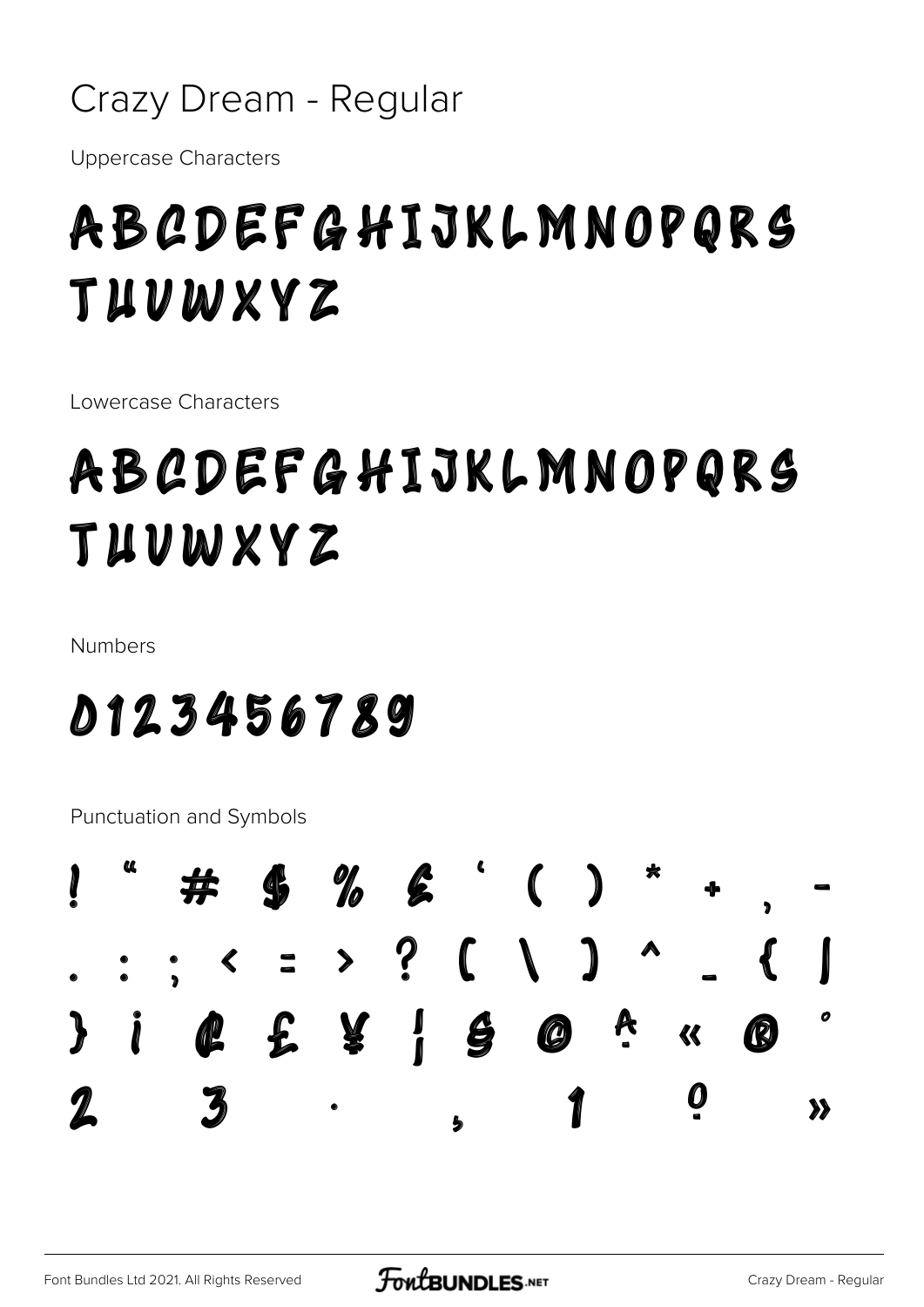#### Crazy Dream - Regular

**Uppercase Characters** 

### **ABCDEFGHIJKLMNOPQRS** TUUWXYZ

Lowercase Characters

## **ABCDEFGHIJKLMNOPQRS** TUUWXYZ

**Numbers** 

#### 0123456789

Punctuation and Symbols

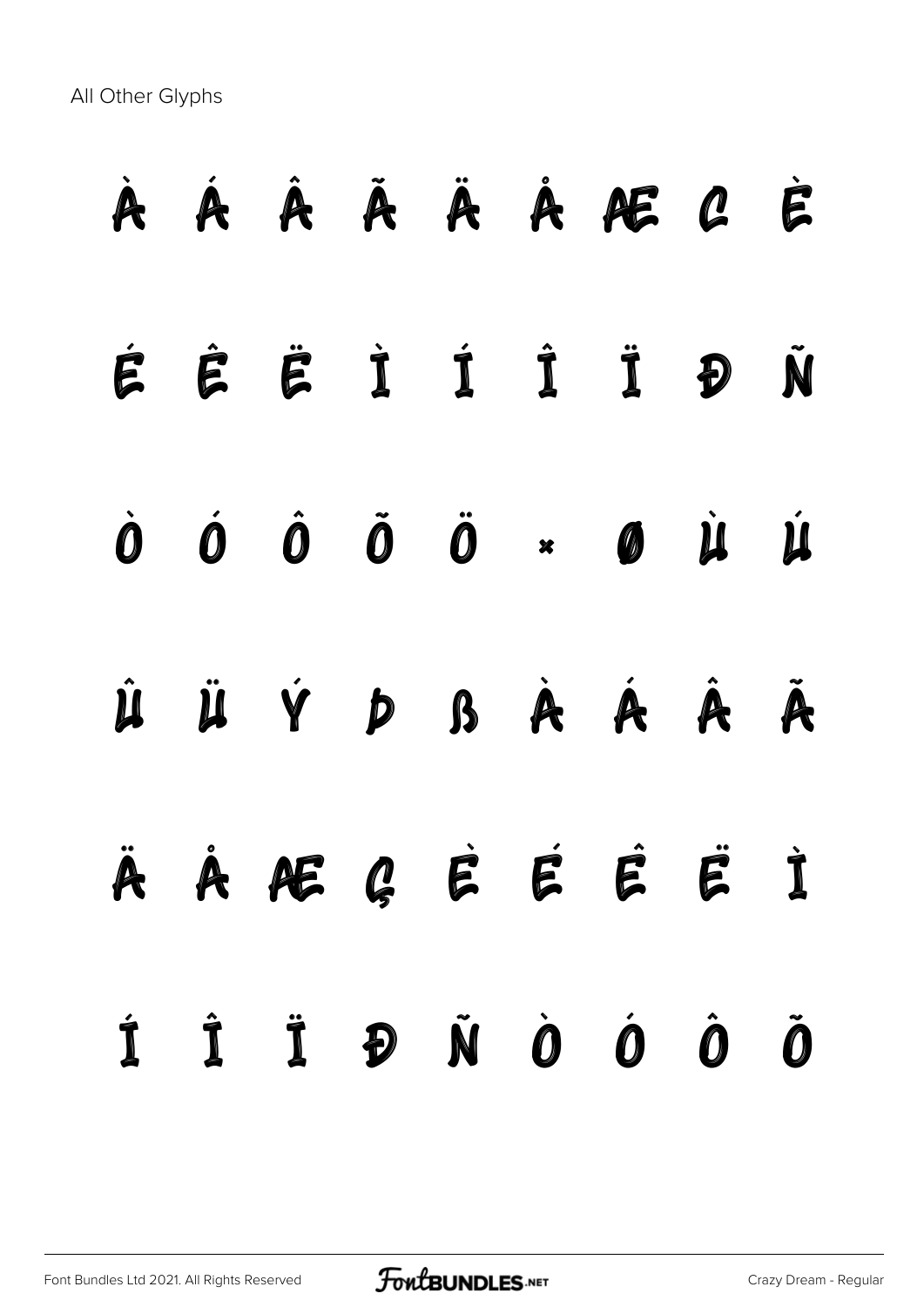All Other Glyphs

# À Á Â Ã Ä Å Æ Ç È É Ê Ë Ì Í Î Ï Ð Ñ Ò Ó Ô Õ Ö × Ø Ù Ú Û Ü Ý Þ ß à á â ã ä å æ ç è é ê ë ì í î ï ð ñ ò ó ô õ